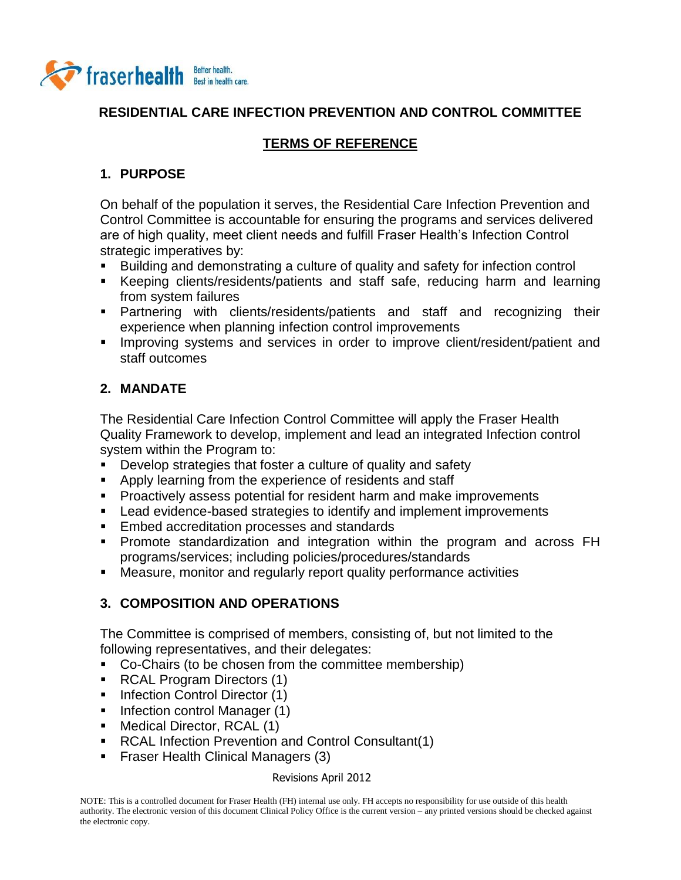

## **RESIDENTIAL CARE INFECTION PREVENTION AND CONTROL COMMITTEE**

# **TERMS OF REFERENCE**

## **1. PURPOSE**

On behalf of the population it serves, the Residential Care Infection Prevention and Control Committee is accountable for ensuring the programs and services delivered are of high quality, meet client needs and fulfill Fraser Health's Infection Control strategic imperatives by:

- Building and demonstrating a culture of quality and safety for infection control
- Keeping clients/residents/patients and staff safe, reducing harm and learning from system failures
- Partnering with clients/residents/patients and staff and recognizing their experience when planning infection control improvements
- **IMPROVING Systems and services in order to improve client/resident/patient and** staff outcomes

## **2. MANDATE**

The Residential Care Infection Control Committee will apply the Fraser Health Quality Framework to develop, implement and lead an integrated Infection control system within the Program to:

- **Develop strategies that foster a culture of quality and safety**
- **Apply learning from the experience of residents and staff**
- Proactively assess potential for resident harm and make improvements
- Lead evidence-based strategies to identify and implement improvements
- **Embed accreditation processes and standards**
- Promote standardization and integration within the program and across FH programs/services; including policies/procedures/standards
- Measure, monitor and regularly report quality performance activities

## **3. COMPOSITION AND OPERATIONS**

The Committee is comprised of members, consisting of, but not limited to the following representatives, and their delegates:

- Co-Chairs (to be chosen from the committee membership)
- **RCAL Program Directors (1)**
- Infection Control Director (1)
- **Infection control Manager (1)**
- Medical Director, RCAL (1)
- RCAL Infection Prevention and Control Consultant(1)
- **Fiaser Health Clinical Managers (3)**

#### Revisions April 2012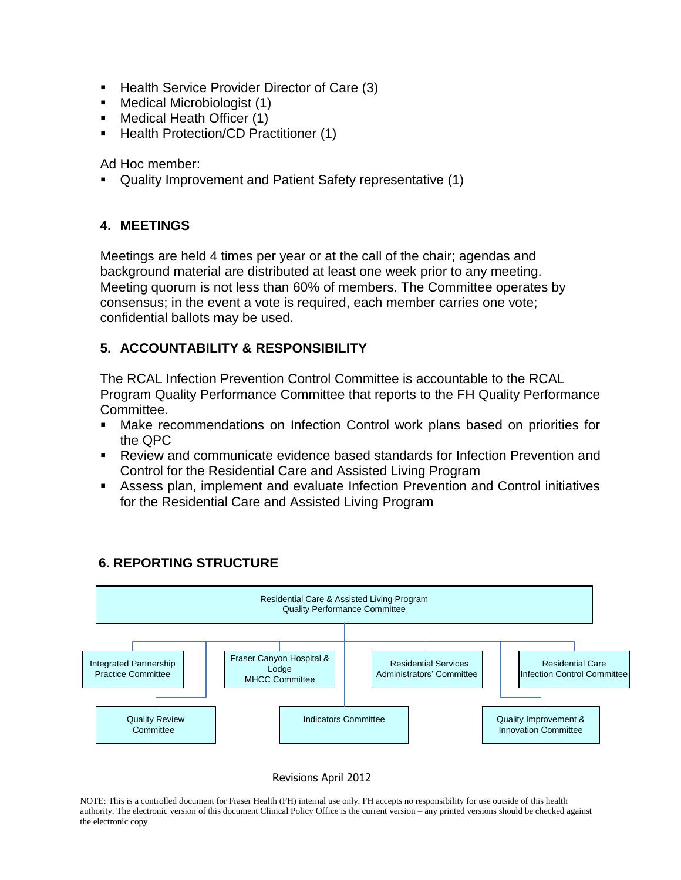- Health Service Provider Director of Care (3)
- Medical Microbiologist (1)
- Medical Heath Officer (1)
- Health Protection/CD Practitioner (1)

Ad Hoc member:

Quality Improvement and Patient Safety representative (1)

### **4. MEETINGS**

Meetings are held 4 times per year or at the call of the chair; agendas and background material are distributed at least one week prior to any meeting. Meeting quorum is not less than 60% of members. The Committee operates by consensus; in the event a vote is required, each member carries one vote; confidential ballots may be used.

## **5. ACCOUNTABILITY & RESPONSIBILITY**

The RCAL Infection Prevention Control Committee is accountable to the RCAL Program Quality Performance Committee that reports to the FH Quality Performance Committee.

- Make recommendations on Infection Control work plans based on priorities for the QPC
- Review and communicate evidence based standards for Infection Prevention and Control for the Residential Care and Assisted Living Program
- Assess plan, implement and evaluate Infection Prevention and Control initiatives for the Residential Care and Assisted Living Program



## **6. REPORTING STRUCTURE**

#### Revisions April 2012

NOTE: This is a controlled document for Fraser Health (FH) internal use only. FH accepts no responsibility for use outside of this health authority. The electronic version of this document Clinical Policy Office is the current version – any printed versions should be checked against the electronic copy.